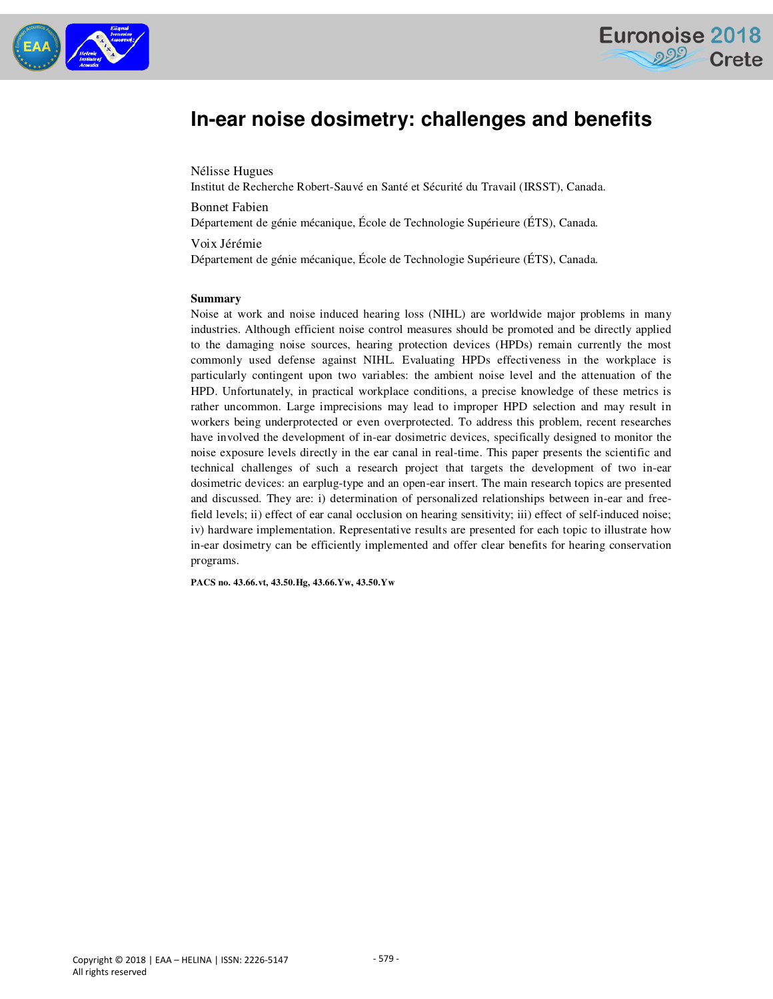



# **In-ear noise dosimetry: challenges and benefits**

Nélisse Hugues

Institut de Recherche Robert-Sauvé en Santé et Sécurité du Travail (IRSST), Canada.

Bonnet Fabien

Département de génie mécanique, École de Technologie Supérieure (ÉTS), Canada.

#### Voix Jérémie

Département de génie mécanique, École de Technologie Supérieure (ÉTS), Canada.

#### **Summary**

Noise at work and noise induced hearing loss (NIHL) are worldwide major problems in many industries. Although efficient noise control measures should be promoted and be directly applied to the damaging noise sources, hearing protection devices (HPDs) remain currently the most commonly used defense against NIHL. Evaluating HPDs effectiveness in the workplace is particularly contingent upon two variables: the ambient noise level and the attenuation of the HPD. Unfortunately, in practical workplace conditions, a precise knowledge of these metrics is rather uncommon. Large imprecisions may lead to improper HPD selection and may result in workers being underprotected or even overprotected. To address this problem, recent researches have involved the development of in-ear dosimetric devices, specifically designed to monitor the noise exposure levels directly in the ear canal in real-time. This paper presents the scientific and technical challenges of such a research project that targets the development of two in-ear dosimetric devices: an earplug-type and an open-ear insert. The main research topics are presented and discussed. They are: i) determination of personalized relationships between in-ear and freefield levels; ii) effect of ear canal occlusion on hearing sensitivity; iii) effect of self-induced noise; iv) hardware implementation. Representative results are presented for each topic to illustrate how in-ear dosimetry can be efficiently implemented and offer clear benefits for hearing conservation programs.

**PACS no. 43.66.vt, 43.50.Hg, 43.66.Yw, 43.50.Yw**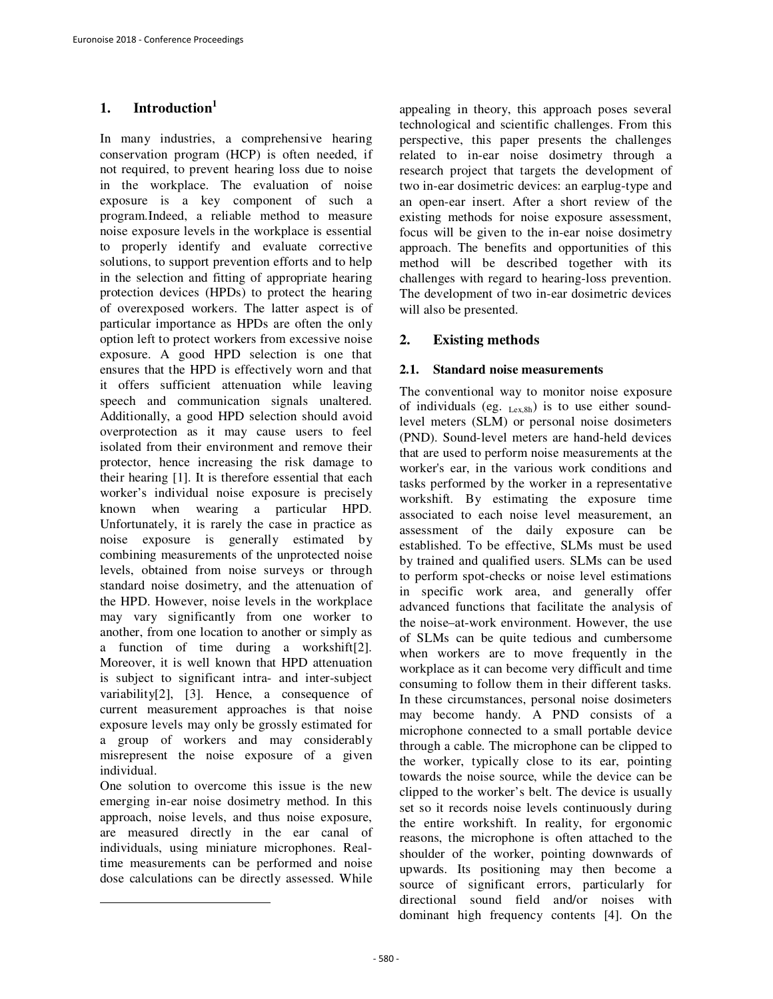# **1. Introduction<sup>1</sup>**

In many industries, a comprehensive hearing conservation program (HCP) is often needed, if not required, to prevent hearing loss due to noise in the workplace. The evaluation of noise exposure is a key component of such a program.Indeed, a reliable method to measure noise exposure levels in the workplace is essential to properly identify and evaluate corrective solutions, to support prevention efforts and to help in the selection and fitting of appropriate hearing protection devices (HPDs) to protect the hearing of overexposed workers. The latter aspect is of particular importance as HPDs are often the only option left to protect workers from excessive noise exposure. A good HPD selection is one that ensures that the HPD is effectively worn and that it offers sufficient attenuation while leaving speech and communication signals unaltered. Additionally, a good HPD selection should avoid overprotection as it may cause users to feel isolated from their environment and remove their protector, hence increasing the risk damage to their hearing [1]. It is therefore essential that each worker's individual noise exposure is precisely known when wearing a particular HPD. Unfortunately, it is rarely the case in practice as noise exposure is generally estimated by combining measurements of the unprotected noise levels, obtained from noise surveys or through standard noise dosimetry, and the attenuation of the HPD. However, noise levels in the workplace may vary significantly from one worker to another, from one location to another or simply as a function of time during a workshift[2]. Moreover, it is well known that HPD attenuation is subject to significant intra- and inter-subject variability[2], [3]. Hence, a consequence of current measurement approaches is that noise exposure levels may only be grossly estimated for a group of workers and may considerably misrepresent the noise exposure of a given individual.

One solution to overcome this issue is the new emerging in-ear noise dosimetry method. In this approach, noise levels, and thus noise exposure, are measured directly in the ear canal of individuals, using miniature microphones. Realtime measurements can be performed and noise dose calculations can be directly assessed. While

l

appealing in theory, this approach poses several technological and scientific challenges. From this perspective, this paper presents the challenges related to in-ear noise dosimetry through a research project that targets the development of two in-ear dosimetric devices: an earplug-type and an open-ear insert. After a short review of the existing methods for noise exposure assessment, focus will be given to the in-ear noise dosimetry approach. The benefits and opportunities of this method will be described together with its challenges with regard to hearing-loss prevention. The development of two in-ear dosimetric devices will also be presented.

# **2. Existing methods**

### **2.1. Standard noise measurements**

The conventional way to monitor noise exposure of individuals (eg.  $_{Lex,8h}$ ) is to use either soundlevel meters (SLM) or personal noise dosimeters (PND). Sound-level meters are hand-held devices that are used to perform noise measurements at the worker's ear, in the various work conditions and tasks performed by the worker in a representative workshift. By estimating the exposure time associated to each noise level measurement, an assessment of the daily exposure can be established. To be effective, SLMs must be used by trained and qualified users. SLMs can be used to perform spot-checks or noise level estimations in specific work area, and generally offer advanced functions that facilitate the analysis of the noise–at-work environment. However, the use of SLMs can be quite tedious and cumbersome when workers are to move frequently in the workplace as it can become very difficult and time consuming to follow them in their different tasks. In these circumstances, personal noise dosimeters may become handy. A PND consists of a microphone connected to a small portable device through a cable. The microphone can be clipped to the worker, typically close to its ear, pointing towards the noise source, while the device can be clipped to the worker's belt. The device is usually set so it records noise levels continuously during the entire workshift. In reality, for ergonomic reasons, the microphone is often attached to the shoulder of the worker, pointing downwards of upwards. Its positioning may then become a source of significant errors, particularly for directional sound field and/or noises with dominant high frequency contents [4]. On the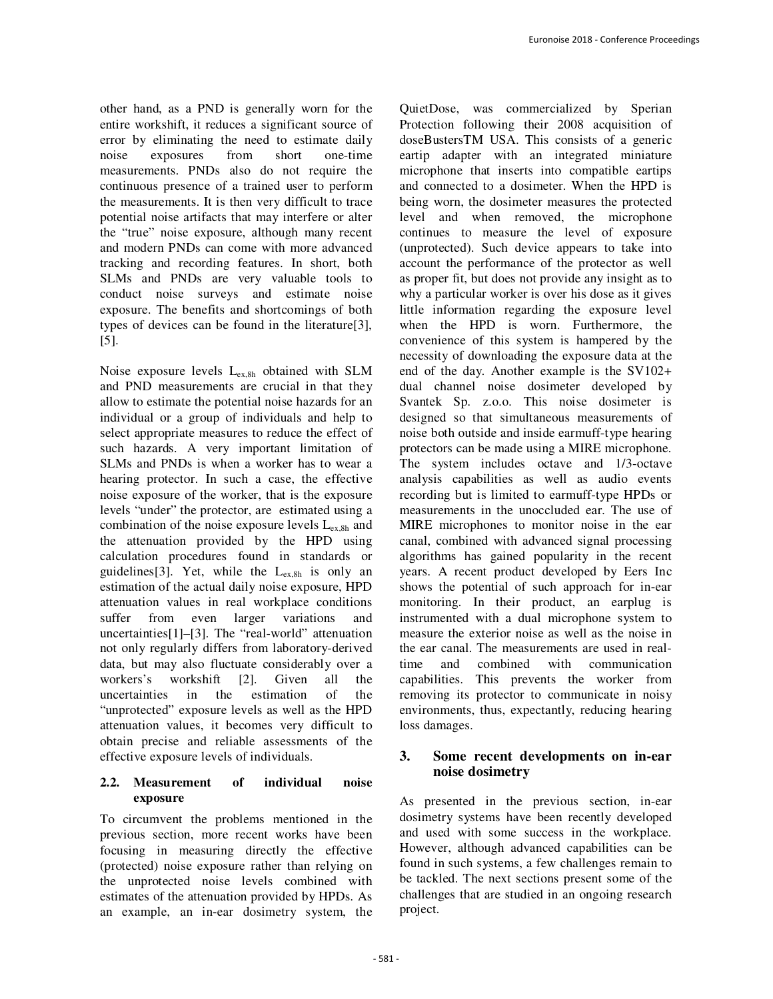other hand, as a PND is generally worn for the entire workshift, it reduces a significant source of error by eliminating the need to estimate daily noise exposures from short one-time measurements. PNDs also do not require the continuous presence of a trained user to perform the measurements. It is then very difficult to trace potential noise artifacts that may interfere or alter the "true" noise exposure, although many recent and modern PNDs can come with more advanced tracking and recording features. In short, both SLMs and PNDs are very valuable tools to conduct noise surveys and estimate noise exposure. The benefits and shortcomings of both types of devices can be found in the literature[3], [5].

Noise exposure levels Lex,8h obtained with SLM and PND measurements are crucial in that they allow to estimate the potential noise hazards for an individual or a group of individuals and help to select appropriate measures to reduce the effect of such hazards. A very important limitation of SLMs and PNDs is when a worker has to wear a hearing protector. In such a case, the effective noise exposure of the worker, that is the exposure levels "under" the protector, are estimated using a combination of the noise exposure levels  $L_{ex,8h}$  and the attenuation provided by the HPD using calculation procedures found in standards or guidelines<sup>[3]</sup>. Yet, while the  $L_{ex,8h}$  is only an estimation of the actual daily noise exposure, HPD attenuation values in real workplace conditions suffer from even larger variations and uncertainties[1]–[3]. The "real-world" attenuation not only regularly differs from laboratory-derived data, but may also fluctuate considerably over a workers's workshift [2]. Given all the uncertainties in the estimation of the "unprotected" exposure levels as well as the HPD attenuation values, it becomes very difficult to obtain precise and reliable assessments of the effective exposure levels of individuals.

#### **2.2. Measurement of individual noise exposure**

To circumvent the problems mentioned in the previous section, more recent works have been focusing in measuring directly the effective (protected) noise exposure rather than relying on the unprotected noise levels combined with estimates of the attenuation provided by HPDs. As an example, an in-ear dosimetry system, the

QuietDose, was commercialized by Sperian Protection following their 2008 acquisition of doseBustersTM USA. This consists of a generic eartip adapter with an integrated miniature microphone that inserts into compatible eartips and connected to a dosimeter. When the HPD is being worn, the dosimeter measures the protected level and when removed, the microphone continues to measure the level of exposure (unprotected). Such device appears to take into account the performance of the protector as well as proper fit, but does not provide any insight as to why a particular worker is over his dose as it gives little information regarding the exposure level when the HPD is worn. Furthermore, the convenience of this system is hampered by the necessity of downloading the exposure data at the end of the day. Another example is the SV102+ dual channel noise dosimeter developed by Svantek Sp. z.o.o. This noise dosimeter is designed so that simultaneous measurements of noise both outside and inside earmuff-type hearing protectors can be made using a MIRE microphone. The system includes octave and 1/3-octave analysis capabilities as well as audio events recording but is limited to earmuff-type HPDs or measurements in the unoccluded ear. The use of MIRE microphones to monitor noise in the ear canal, combined with advanced signal processing algorithms has gained popularity in the recent years. A recent product developed by Eers Inc shows the potential of such approach for in-ear monitoring. In their product, an earplug is instrumented with a dual microphone system to measure the exterior noise as well as the noise in the ear canal. The measurements are used in realtime and combined with communication capabilities. This prevents the worker from removing its protector to communicate in noisy environments, thus, expectantly, reducing hearing loss damages.

# **3. Some recent developments on in-ear noise dosimetry**

As presented in the previous section, in-ear dosimetry systems have been recently developed and used with some success in the workplace. However, although advanced capabilities can be found in such systems, a few challenges remain to be tackled. The next sections present some of the challenges that are studied in an ongoing research project.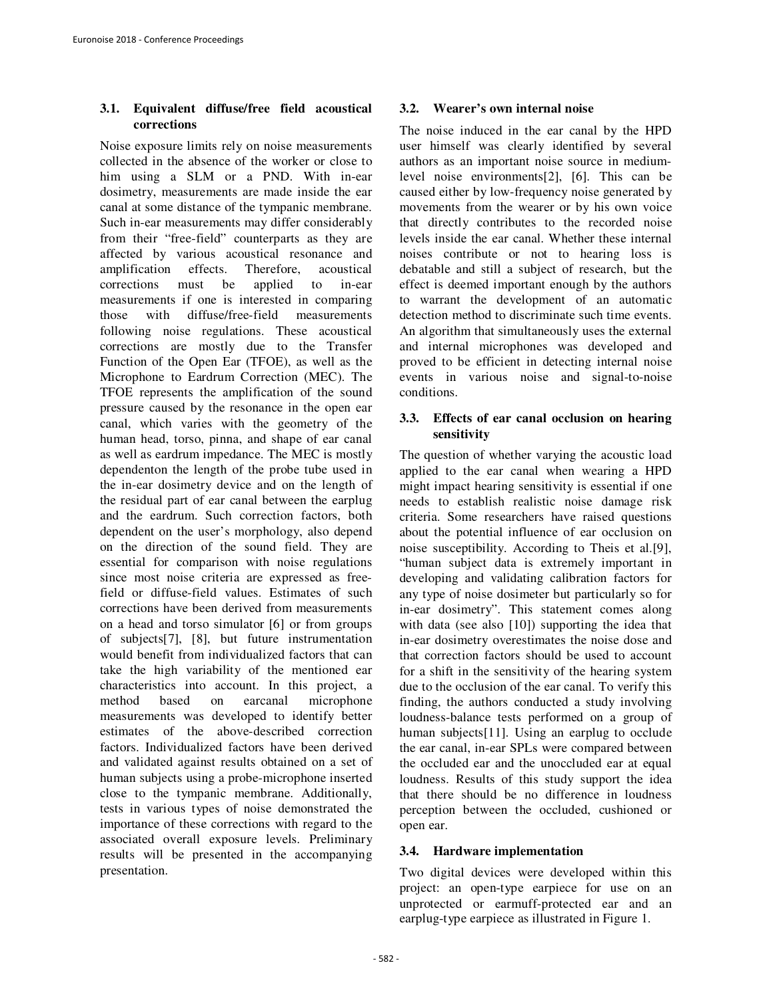#### **3.1. Equivalent diffuse/free field acoustical corrections**

Noise exposure limits rely on noise measurements collected in the absence of the worker or close to him using a SLM or a PND. With in-ear dosimetry, measurements are made inside the ear canal at some distance of the tympanic membrane. Such in-ear measurements may differ considerably from their "free-field" counterparts as they are affected by various acoustical resonance and amplification effects. Therefore, acoustical corrections must be applied to in-ear measurements if one is interested in comparing those with diffuse/free-field measurements following noise regulations. These acoustical corrections are mostly due to the Transfer Function of the Open Ear (TFOE), as well as the Microphone to Eardrum Correction (MEC). The TFOE represents the amplification of the sound pressure caused by the resonance in the open ear canal, which varies with the geometry of the human head, torso, pinna, and shape of ear canal as well as eardrum impedance. The MEC is mostly dependenton the length of the probe tube used in the in-ear dosimetry device and on the length of the residual part of ear canal between the earplug and the eardrum. Such correction factors, both dependent on the user's morphology, also depend on the direction of the sound field. They are essential for comparison with noise regulations since most noise criteria are expressed as freefield or diffuse-field values. Estimates of such corrections have been derived from measurements on a head and torso simulator [6] or from groups of subjects[7], [8], but future instrumentation would benefit from individualized factors that can take the high variability of the mentioned ear characteristics into account. In this project, a method based on earcanal microphone measurements was developed to identify better estimates of the above-described correction factors. Individualized factors have been derived and validated against results obtained on a set of human subjects using a probe-microphone inserted close to the tympanic membrane. Additionally, tests in various types of noise demonstrated the importance of these corrections with regard to the associated overall exposure levels. Preliminary results will be presented in the accompanying presentation.

#### **3.2. Wearer's own internal noise**

The noise induced in the ear canal by the HPD user himself was clearly identified by several authors as an important noise source in mediumlevel noise environments[2], [6]. This can be caused either by low-frequency noise generated by movements from the wearer or by his own voice that directly contributes to the recorded noise levels inside the ear canal. Whether these internal noises contribute or not to hearing loss is debatable and still a subject of research, but the effect is deemed important enough by the authors to warrant the development of an automatic detection method to discriminate such time events. An algorithm that simultaneously uses the external and internal microphones was developed and proved to be efficient in detecting internal noise events in various noise and signal-to-noise conditions.

#### **3.3. Effects of ear canal occlusion on hearing sensitivity**

The question of whether varying the acoustic load applied to the ear canal when wearing a HPD might impact hearing sensitivity is essential if one needs to establish realistic noise damage risk criteria. Some researchers have raised questions about the potential influence of ear occlusion on noise susceptibility. According to Theis et al.[9], "human subject data is extremely important in developing and validating calibration factors for any type of noise dosimeter but particularly so for in-ear dosimetry". This statement comes along with data (see also [10]) supporting the idea that in-ear dosimetry overestimates the noise dose and that correction factors should be used to account for a shift in the sensitivity of the hearing system due to the occlusion of the ear canal. To verify this finding, the authors conducted a study involving loudness-balance tests performed on a group of human subjects[11]. Using an earplug to occlude the ear canal, in-ear SPLs were compared between the occluded ear and the unoccluded ear at equal loudness. Results of this study support the idea that there should be no difference in loudness perception between the occluded, cushioned or open ear.

# **3.4. Hardware implementation**

Two digital devices were developed within this project: an open-type earpiece for use on an unprotected or earmuff-protected ear and an earplug-type earpiece as illustrated in Figure 1.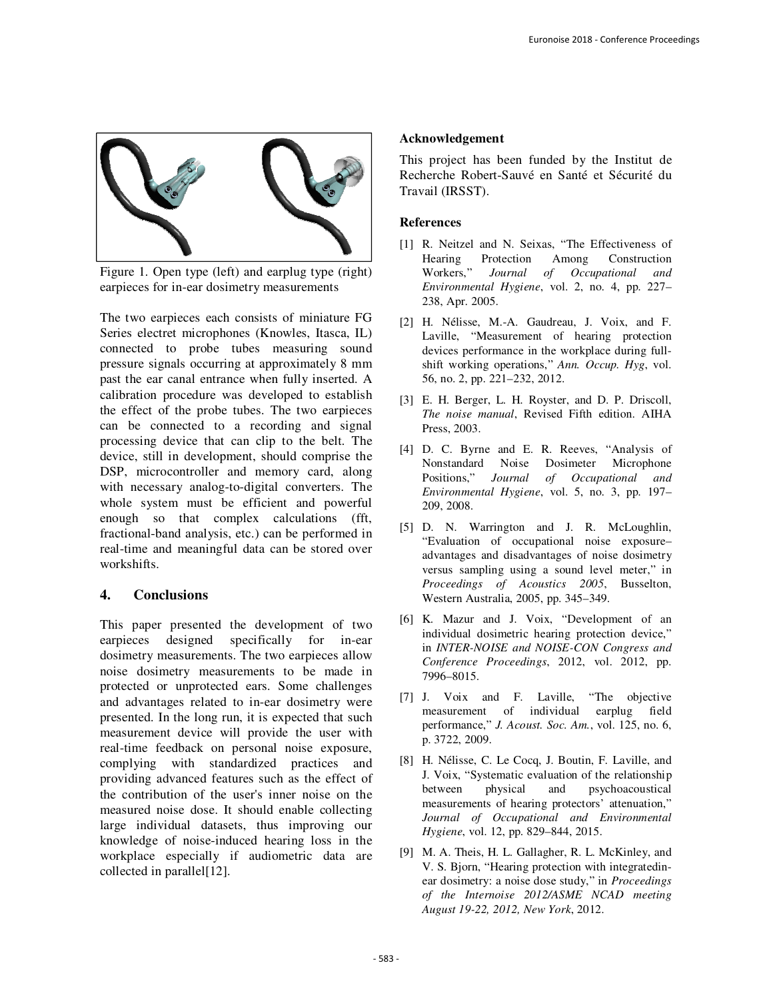

Figure 1. Open type (left) and earplug type (right) earpieces for in-ear dosimetry measurements

The two earpieces each consists of miniature FG Series electret microphones (Knowles, Itasca, IL) connected to probe tubes measuring sound pressure signals occurring at approximately 8 mm past the ear canal entrance when fully inserted. A calibration procedure was developed to establish the effect of the probe tubes. The two earpieces can be connected to a recording and signal processing device that can clip to the belt. The device, still in development, should comprise the DSP, microcontroller and memory card, along with necessary analog-to-digital converters. The whole system must be efficient and powerful enough so that complex calculations (fft, fractional-band analysis, etc.) can be performed in real-time and meaningful data can be stored over workshifts.

# **4. Conclusions**

This paper presented the development of two earpieces designed specifically for in-ear dosimetry measurements. The two earpieces allow noise dosimetry measurements to be made in protected or unprotected ears. Some challenges and advantages related to in-ear dosimetry were presented. In the long run, it is expected that such measurement device will provide the user with real-time feedback on personal noise exposure, complying with standardized practices and providing advanced features such as the effect of the contribution of the user's inner noise on the measured noise dose. It should enable collecting large individual datasets, thus improving our knowledge of noise-induced hearing loss in the workplace especially if audiometric data are collected in parallel[12].

#### **Acknowledgement**

This project has been funded by the Institut de Recherche Robert-Sauvé en Santé et Sécurité du Travail (IRSST).

#### **References**

- [1] R. Neitzel and N. Seixas, "The Effectiveness of Hearing Protection Among Construction<br>Workers," Journal of Occupational and Journal of Occupational and *Environmental Hygiene*, vol. 2, no. 4, pp. 227– 238, Apr. 2005.
- [2] H. Nélisse, M.-A. Gaudreau, J. Voix, and F. Laville, "Measurement of hearing protection devices performance in the workplace during fullshift working operations," *Ann. Occup. Hyg*, vol. 56, no. 2, pp. 221–232, 2012.
- [3] E. H. Berger, L. H. Royster, and D. P. Driscoll, *The noise manual*, Revised Fifth edition. AIHA Press, 2003.
- [4] D. C. Byrne and E. R. Reeves, "Analysis of Nonstandard Noise Dosimeter Microphone Positions," *Journal of Occupational and Environmental Hygiene*, vol. 5, no. 3, pp. 197– 209, 2008.
- [5] D. N. Warrington and J. R. McLoughlin, "Evaluation of occupational noise exposure– advantages and disadvantages of noise dosimetry versus sampling using a sound level meter," in *Proceedings of Acoustics 2005*, Busselton, Western Australia, 2005, pp. 345–349.
- [6] K. Mazur and J. Voix, "Development of an individual dosimetric hearing protection device," in *INTER-NOISE and NOISE-CON Congress and Conference Proceedings*, 2012, vol. 2012, pp. 7996–8015.
- [7] J. Voix and F. Laville, "The objective measurement of individual earplug field performance," *J. Acoust. Soc. Am.*, vol. 125, no. 6, p. 3722, 2009.
- [8] H. Nélisse, C. Le Cocq, J. Boutin, F. Laville, and J. Voix, "Systematic evaluation of the relationship between physical and psychoacoustical measurements of hearing protectors' attenuation," *Journal of Occupational and Environmental Hygiene*, vol. 12, pp. 829–844, 2015.
- [9] M. A. Theis, H. L. Gallagher, R. L. McKinley, and V. S. Bjorn, "Hearing protection with integratedinear dosimetry: a noise dose study," in *Proceedings of the Internoise 2012/ASME NCAD meeting August 19-22, 2012, New York*, 2012.